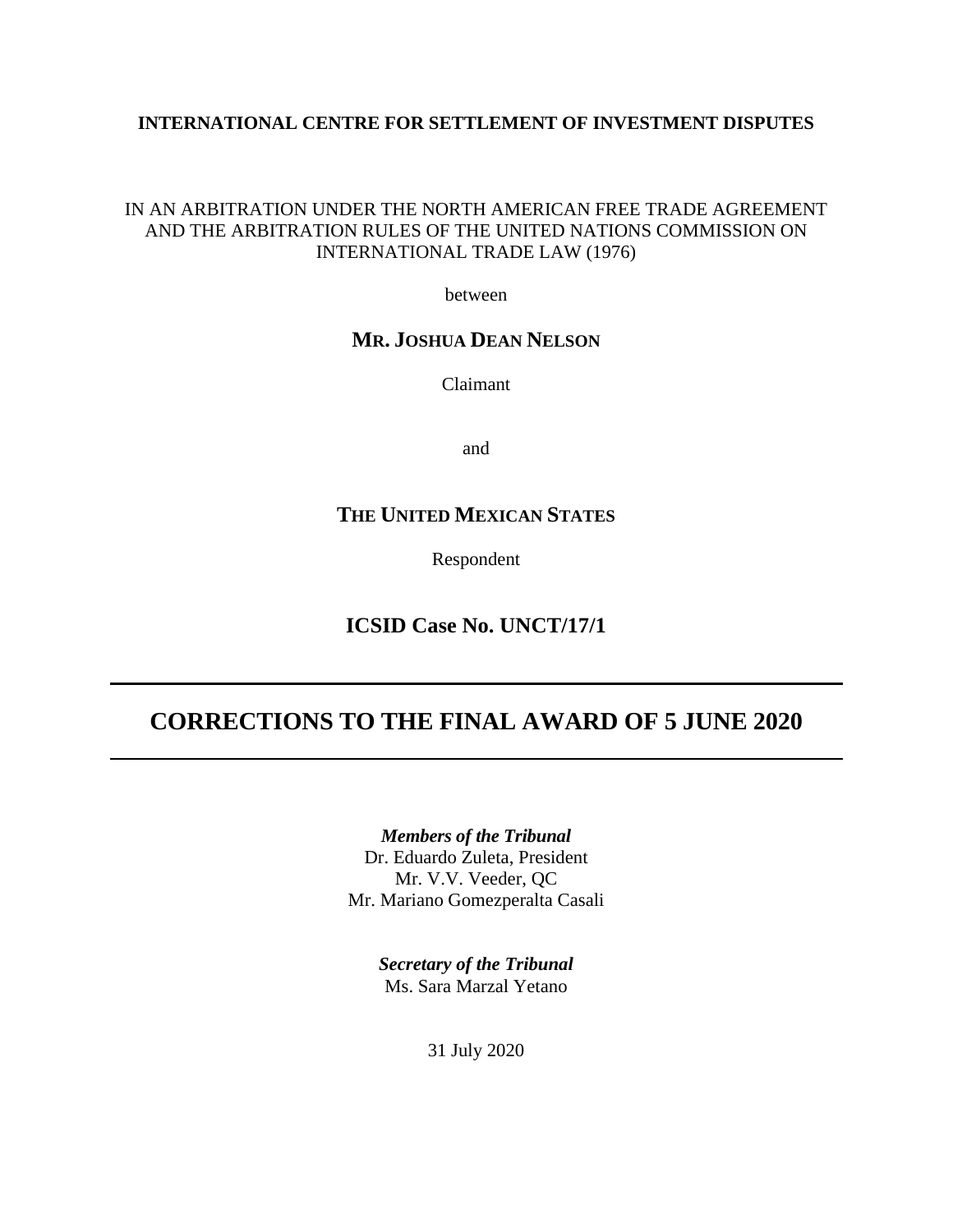### **INTERNATIONAL CENTRE FOR SETTLEMENT OF INVESTMENT DISPUTES**

### IN AN ARBITRATION UNDER THE NORTH AMERICAN FREE TRADE AGREEMENT AND THE ARBITRATION RULES OF THE UNITED NATIONS COMMISSION ON INTERNATIONAL TRADE LAW (1976)

between

## **MR. JOSHUA DEAN NELSON**

Claimant

and

# **THE UNITED MEXICAN STATES**

Respondent

**ICSID Case No. UNCT/17/1**

# **CORRECTIONS TO THE FINAL AWARD OF 5 JUNE 2020**

*Members of the Tribunal* Dr. Eduardo Zuleta, President Mr. V.V. Veeder, QC Mr. Mariano Gomezperalta Casali

> *Secretary of the Tribunal* Ms. Sara Marzal Yetano

> > 31 July 2020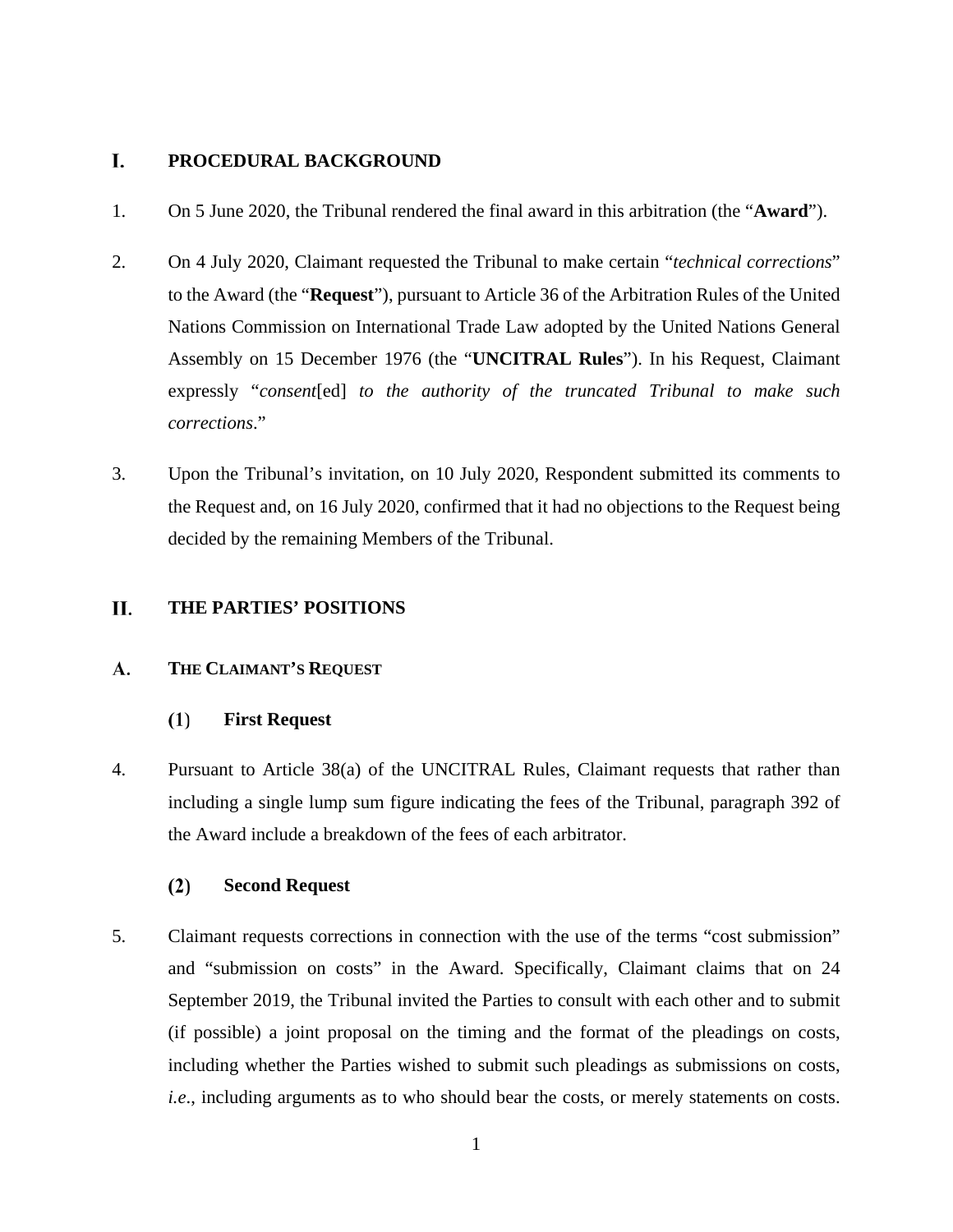#### I. **PROCEDURAL BACKGROUND**

- 1. On 5 June 2020, the Tribunal rendered the final award in this arbitration (the "**Award**").
- 2. On 4 July 2020, Claimant requested the Tribunal to make certain "*technical corrections*" to the Award (the "**Request**"), pursuant to Article 36 of the Arbitration Rules of the United Nations Commission on International Trade Law adopted by the United Nations General Assembly on 15 December 1976 (the "**UNCITRAL Rules**"). In his Request, Claimant expressly "*consent*[ed] *to the authority of the truncated Tribunal to make such corrections*."
- 3. Upon the Tribunal's invitation, on 10 July 2020, Respondent submitted its comments to the Request and, on 16 July 2020, confirmed that it had no objections to the Request being decided by the remaining Members of the Tribunal.

#### П. **THE PARTIES' POSITIONS**

#### A. **THE CLAIMANT'S REQUEST**

#### $(1)$ **First Request**

4. Pursuant to Article 38(a) of the UNCITRAL Rules, Claimant requests that rather than including a single lump sum figure indicating the fees of the Tribunal, paragraph 392 of the Award include a breakdown of the fees of each arbitrator.

#### $(2)$ **Second Request**

5. Claimant requests corrections in connection with the use of the terms "cost submission" and "submission on costs" in the Award. Specifically, Claimant claims that on 24 September 2019, the Tribunal invited the Parties to consult with each other and to submit (if possible) a joint proposal on the timing and the format of the pleadings on costs, including whether the Parties wished to submit such pleadings as submissions on costs, *i.e.*, including arguments as to who should bear the costs, or merely statements on costs.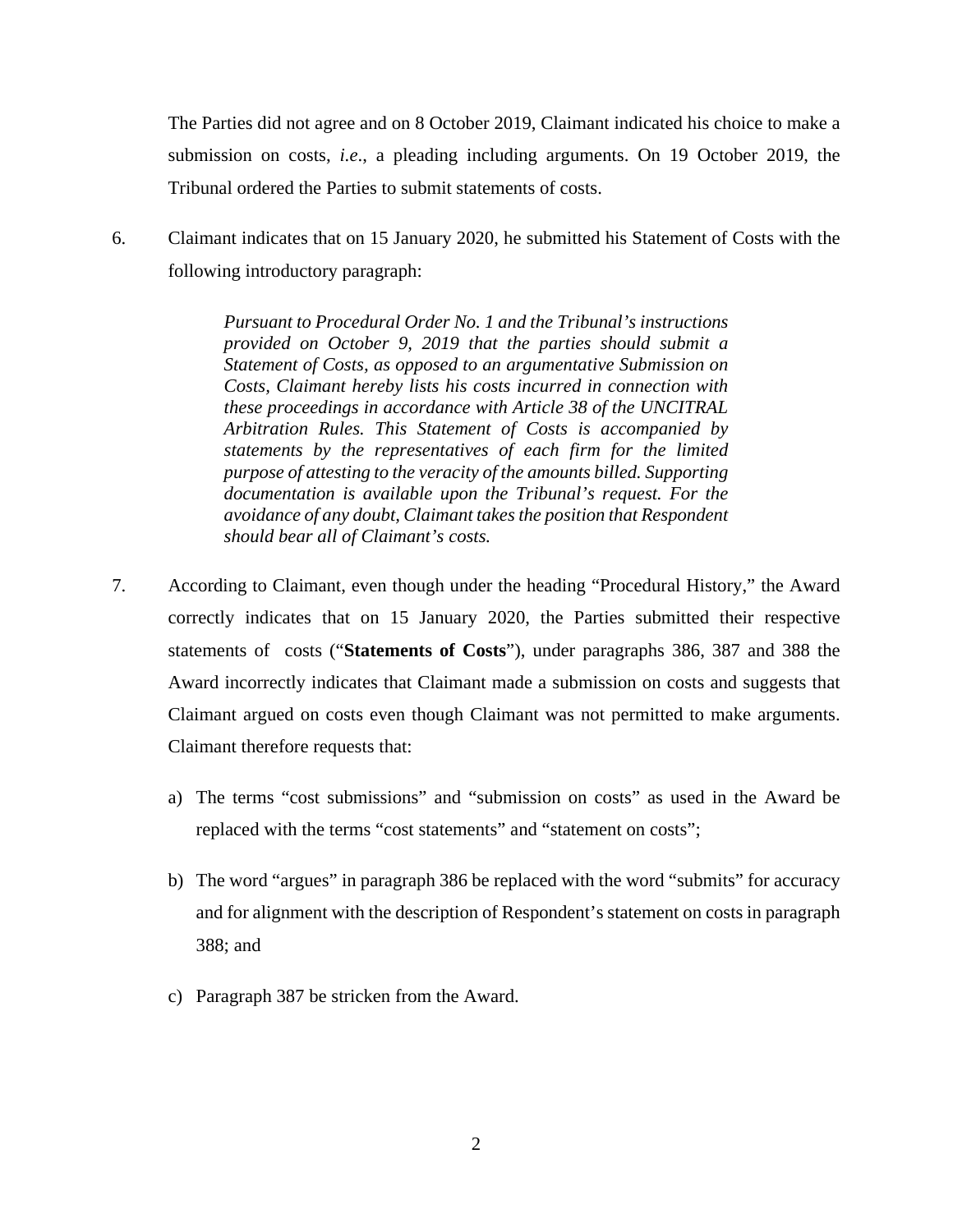The Parties did not agree and on 8 October 2019, Claimant indicated his choice to make a submission on costs, *i.e*., a pleading including arguments. On 19 October 2019, the Tribunal ordered the Parties to submit statements of costs.

6. Claimant indicates that on 15 January 2020, he submitted his Statement of Costs with the following introductory paragraph:

> *Pursuant to Procedural Order No. 1 and the Tribunal's instructions provided on October 9, 2019 that the parties should submit a Statement of Costs, as opposed to an argumentative Submission on Costs, Claimant hereby lists his costs incurred in connection with these proceedings in accordance with Article 38 of the UNCITRAL Arbitration Rules. This Statement of Costs is accompanied by statements by the representatives of each firm for the limited purpose of attesting to the veracity of the amounts billed. Supporting documentation is available upon the Tribunal's request. For the avoidance of any doubt, Claimant takes the position that Respondent should bear all of Claimant's costs.*

- 7. According to Claimant, even though under the heading "Procedural History," the Award correctly indicates that on 15 January 2020, the Parties submitted their respective statements of costs ("**Statements of Costs**"), under paragraphs 386, 387 and 388 the Award incorrectly indicates that Claimant made a submission on costs and suggests that Claimant argued on costs even though Claimant was not permitted to make arguments. Claimant therefore requests that:
	- a) The terms "cost submissions" and "submission on costs" as used in the Award be replaced with the terms "cost statements" and "statement on costs";
	- b) The word "argues" in paragraph 386 be replaced with the word "submits" for accuracy and for alignment with the description of Respondent's statement on costs in paragraph 388; and
	- c) Paragraph 387 be stricken from the Award.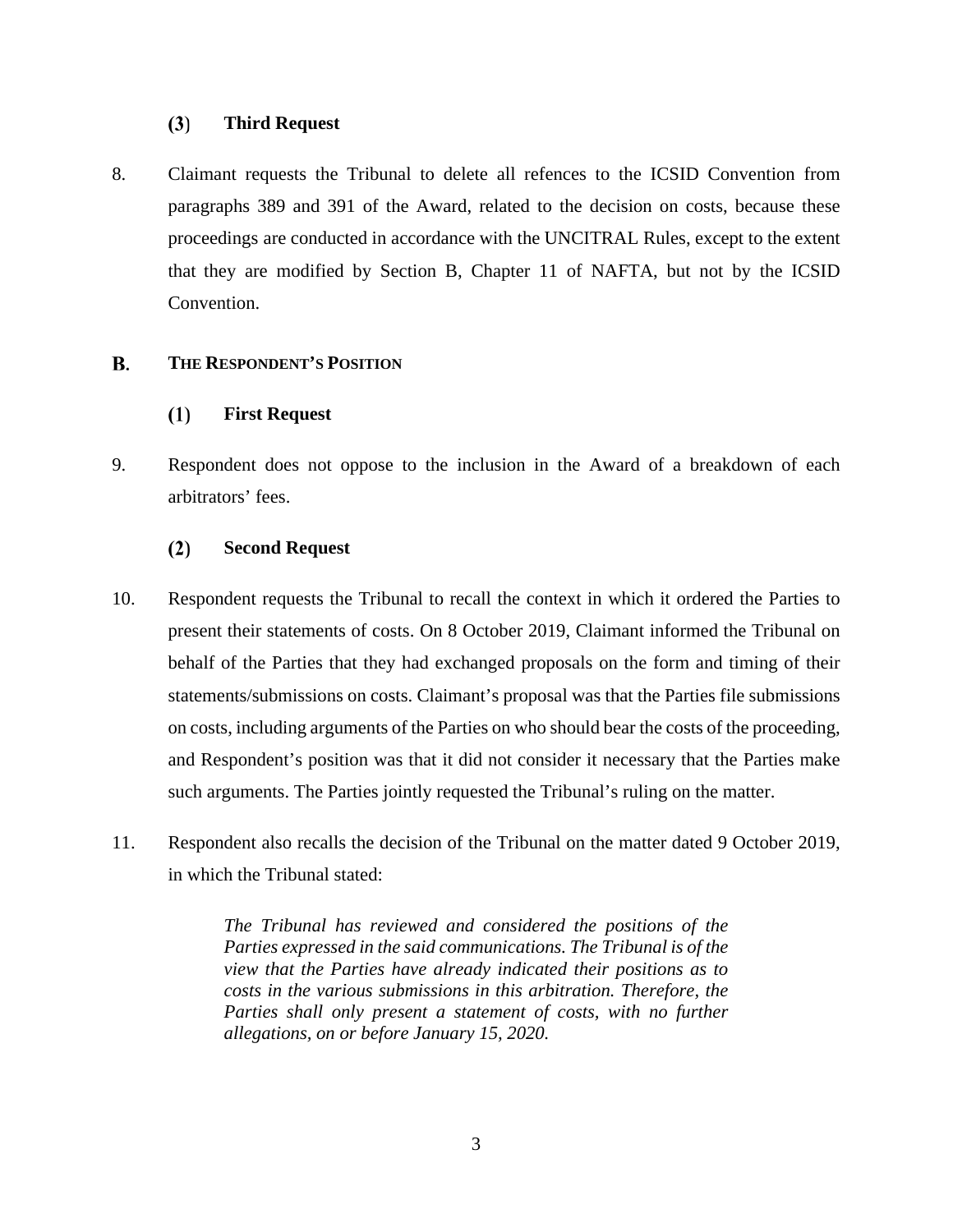#### **Third Request**  $(3)$

8. Claimant requests the Tribunal to delete all refences to the ICSID Convention from paragraphs 389 and 391 of the Award, related to the decision on costs, because these proceedings are conducted in accordance with the UNCITRAL Rules, except to the extent that they are modified by Section B, Chapter 11 of NAFTA, but not by the ICSID Convention.

#### **B. THE RESPONDENT'S POSITION**

#### **First Request**  $(1)$

9. Respondent does not oppose to the inclusion in the Award of a breakdown of each arbitrators' fees.

#### $(2)$ **Second Request**

- 10. Respondent requests the Tribunal to recall the context in which it ordered the Parties to present their statements of costs. On 8 October 2019, Claimant informed the Tribunal on behalf of the Parties that they had exchanged proposals on the form and timing of their statements/submissions on costs. Claimant's proposal was that the Parties file submissions on costs, including arguments of the Parties on who should bear the costs of the proceeding, and Respondent's position was that it did not consider it necessary that the Parties make such arguments. The Parties jointly requested the Tribunal's ruling on the matter.
- 11. Respondent also recalls the decision of the Tribunal on the matter dated 9 October 2019, in which the Tribunal stated:

*The Tribunal has reviewed and considered the positions of the Parties expressed in the said communications. The Tribunal is of the view that the Parties have already indicated their positions as to costs in the various submissions in this arbitration. Therefore, the*  Parties shall only present a statement of costs, with no further *allegations, on or before January 15, 2020.*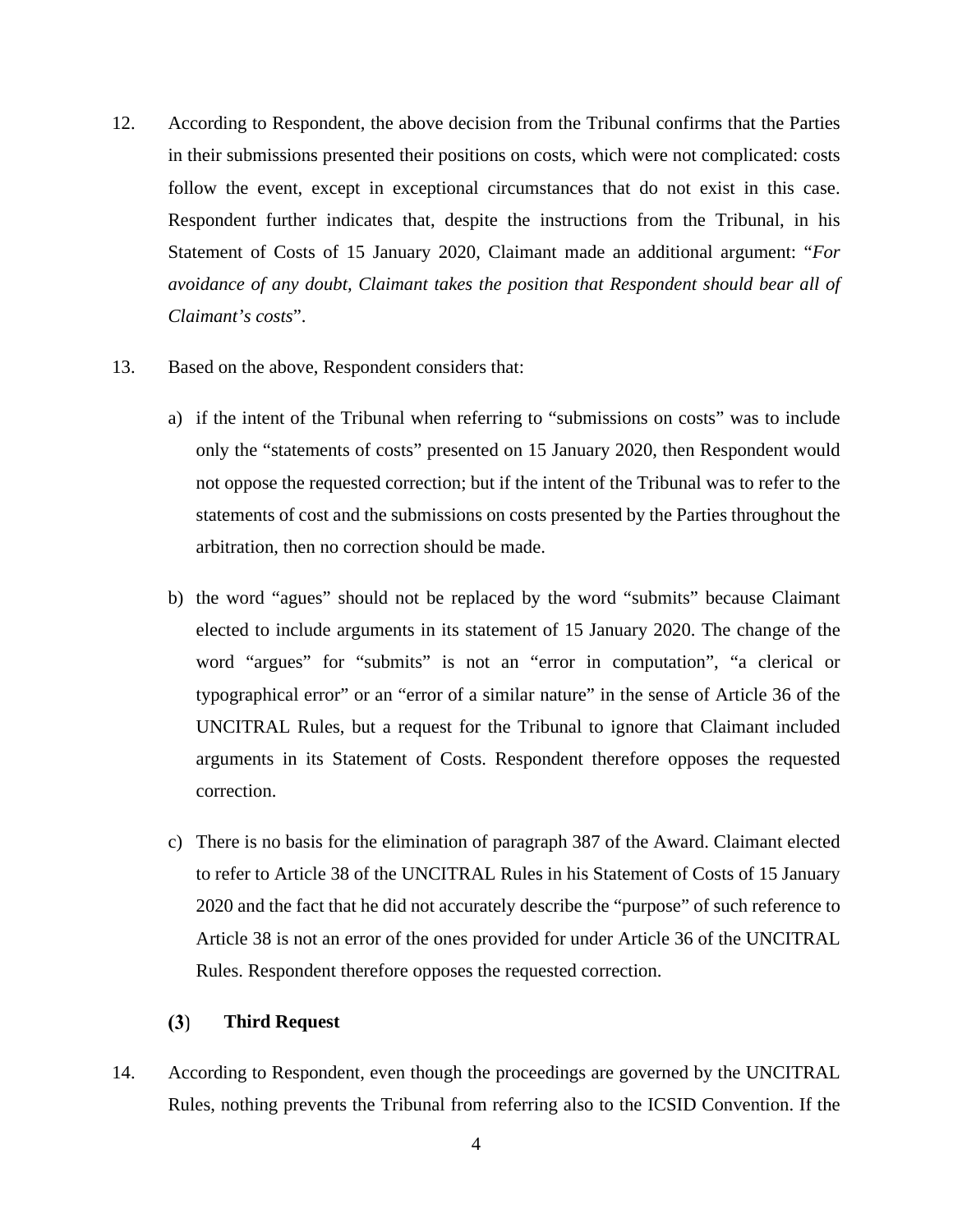- 12. According to Respondent, the above decision from the Tribunal confirms that the Parties in their submissions presented their positions on costs, which were not complicated: costs follow the event, except in exceptional circumstances that do not exist in this case. Respondent further indicates that, despite the instructions from the Tribunal, in his Statement of Costs of 15 January 2020, Claimant made an additional argument: "*For avoidance of any doubt, Claimant takes the position that Respondent should bear all of Claimant's costs*".
- 13. Based on the above, Respondent considers that:
	- a) if the intent of the Tribunal when referring to "submissions on costs" was to include only the "statements of costs" presented on 15 January 2020, then Respondent would not oppose the requested correction; but if the intent of the Tribunal was to refer to the statements of cost and the submissions on costs presented by the Parties throughout the arbitration, then no correction should be made.
	- b) the word "agues" should not be replaced by the word "submits" because Claimant elected to include arguments in its statement of 15 January 2020. The change of the word "argues" for "submits" is not an "error in computation", "a clerical or typographical error" or an "error of a similar nature" in the sense of Article 36 of the UNCITRAL Rules, but a request for the Tribunal to ignore that Claimant included arguments in its Statement of Costs. Respondent therefore opposes the requested correction.
	- c) There is no basis for the elimination of paragraph 387 of the Award. Claimant elected to refer to Article 38 of the UNCITRAL Rules in his Statement of Costs of 15 January 2020 and the fact that he did not accurately describe the "purpose" of such reference to Article 38 is not an error of the ones provided for under Article 36 of the UNCITRAL Rules. Respondent therefore opposes the requested correction.

#### $(3)$ **Third Request**

14. According to Respondent, even though the proceedings are governed by the UNCITRAL Rules, nothing prevents the Tribunal from referring also to the ICSID Convention. If the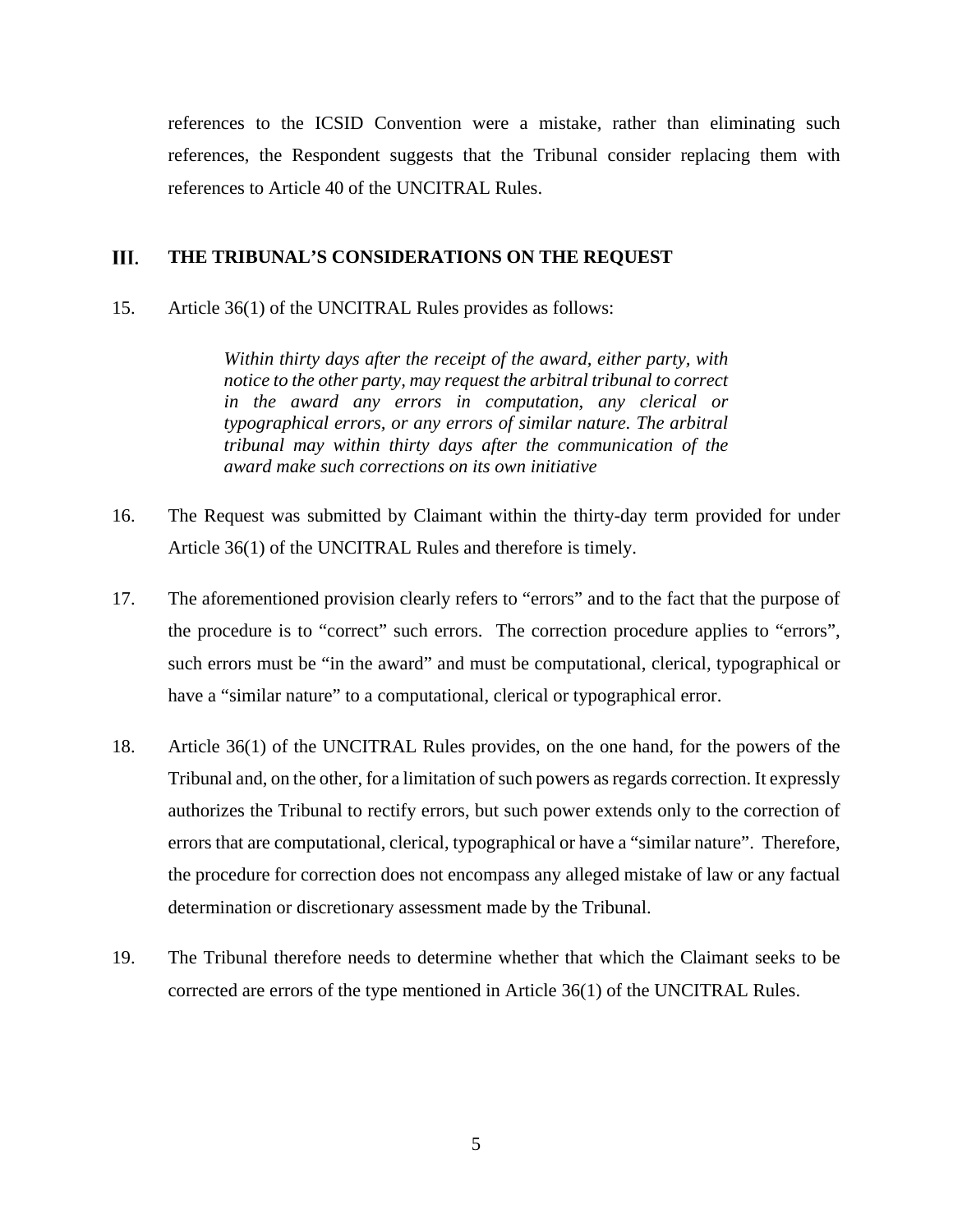references to the ICSID Convention were a mistake, rather than eliminating such references, the Respondent suggests that the Tribunal consider replacing them with references to Article 40 of the UNCITRAL Rules.

#### III. **THE TRIBUNAL'S CONSIDERATIONS ON THE REQUEST**

15. Article 36(1) of the UNCITRAL Rules provides as follows:

*Within thirty days after the receipt of the award, either party, with notice to the other party, may request the arbitral tribunal to correct in the award any errors in computation, any clerical or typographical errors, or any errors of similar nature. The arbitral tribunal may within thirty days after the communication of the award make such corrections on its own initiative*

- 16. The Request was submitted by Claimant within the thirty-day term provided for under Article 36(1) of the UNCITRAL Rules and therefore is timely.
- 17. The aforementioned provision clearly refers to "errors" and to the fact that the purpose of the procedure is to "correct" such errors. The correction procedure applies to "errors", such errors must be "in the award" and must be computational, clerical, typographical or have a "similar nature" to a computational, clerical or typographical error.
- 18. Article 36(1) of the UNCITRAL Rules provides, on the one hand, for the powers of the Tribunal and, on the other, for a limitation of such powers as regards correction. It expressly authorizes the Tribunal to rectify errors, but such power extends only to the correction of errors that are computational, clerical, typographical or have a "similar nature". Therefore, the procedure for correction does not encompass any alleged mistake of law or any factual determination or discretionary assessment made by the Tribunal.
- 19. The Tribunal therefore needs to determine whether that which the Claimant seeks to be corrected are errors of the type mentioned in Article 36(1) of the UNCITRAL Rules.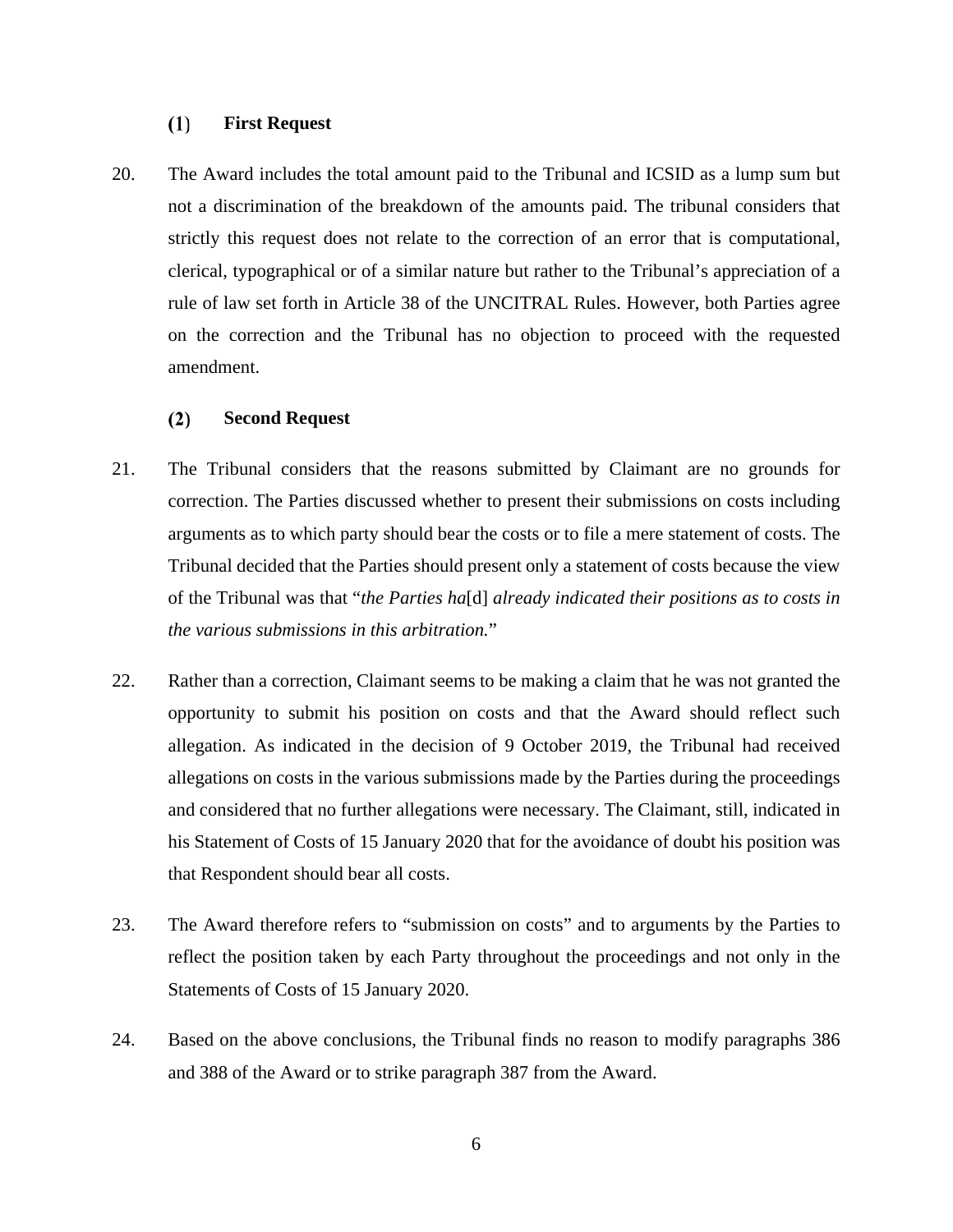#### $(1)$ **First Request**

20. The Award includes the total amount paid to the Tribunal and ICSID as a lump sum but not a discrimination of the breakdown of the amounts paid. The tribunal considers that strictly this request does not relate to the correction of an error that is computational, clerical, typographical or of a similar nature but rather to the Tribunal's appreciation of a rule of law set forth in Article 38 of the UNCITRAL Rules. However, both Parties agree on the correction and the Tribunal has no objection to proceed with the requested amendment.

#### $(2)$ **Second Request**

- 21. The Tribunal considers that the reasons submitted by Claimant are no grounds for correction. The Parties discussed whether to present their submissions on costs including arguments as to which party should bear the costs or to file a mere statement of costs. The Tribunal decided that the Parties should present only a statement of costs because the view of the Tribunal was that "*the Parties ha*[d] *already indicated their positions as to costs in the various submissions in this arbitration.*"
- 22. Rather than a correction, Claimant seems to be making a claim that he was not granted the opportunity to submit his position on costs and that the Award should reflect such allegation. As indicated in the decision of 9 October 2019, the Tribunal had received allegations on costs in the various submissions made by the Parties during the proceedings and considered that no further allegations were necessary. The Claimant, still, indicated in his Statement of Costs of 15 January 2020 that for the avoidance of doubt his position was that Respondent should bear all costs.
- 23. The Award therefore refers to "submission on costs" and to arguments by the Parties to reflect the position taken by each Party throughout the proceedings and not only in the Statements of Costs of 15 January 2020.
- 24. Based on the above conclusions, the Tribunal finds no reason to modify paragraphs 386 and 388 of the Award or to strike paragraph 387 from the Award.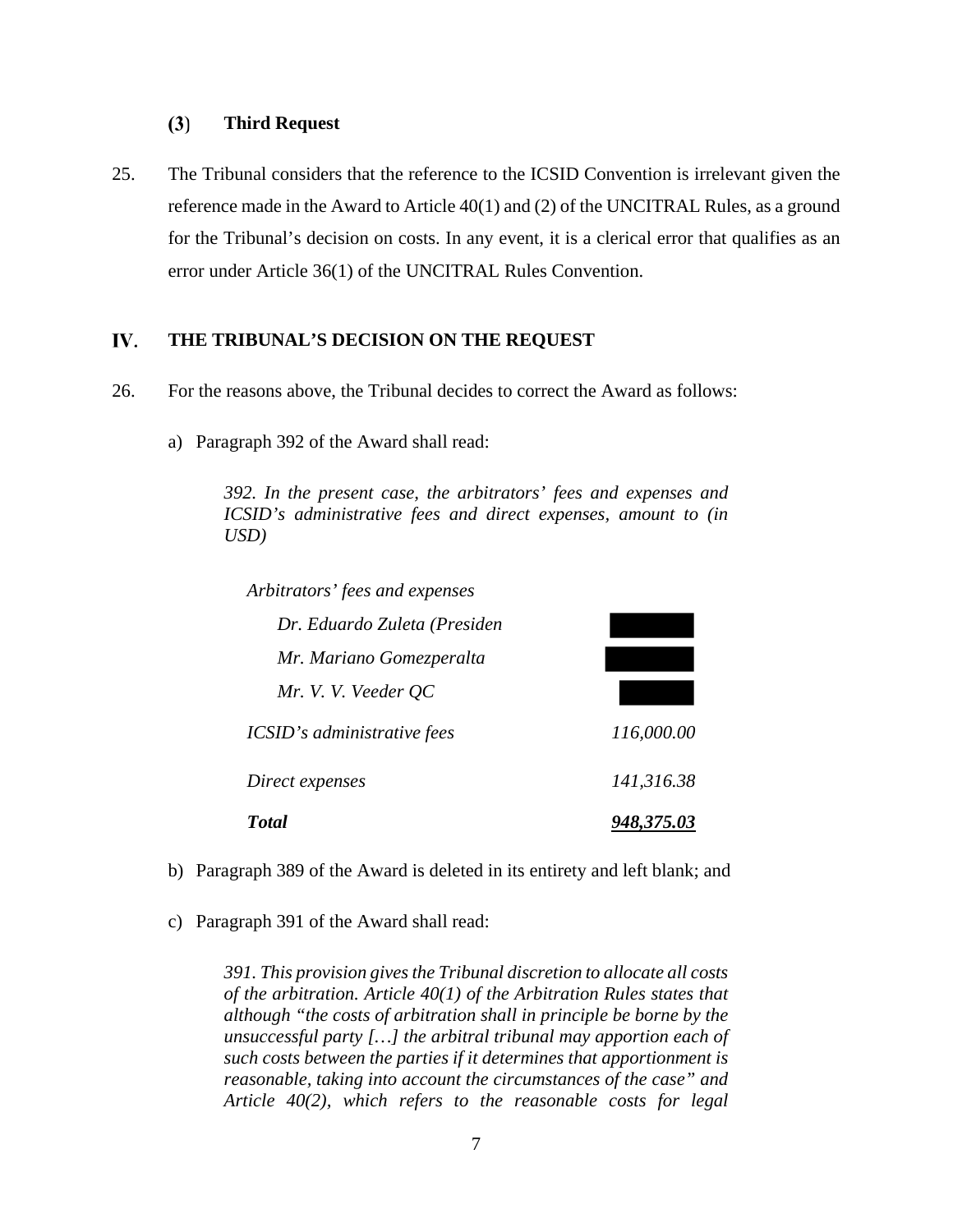#### $(3)$ **Third Request**

25. The Tribunal considers that the reference to the ICSID Convention is irrelevant given the reference made in the Award to Article 40(1) and (2) of the UNCITRAL Rules, as a ground for the Tribunal's decision on costs. In any event, it is a clerical error that qualifies as an error under Article 36(1) of the UNCITRAL Rules Convention.

#### IV. **THE TRIBUNAL'S DECISION ON THE REQUEST**

- 26. For the reasons above, the Tribunal decides to correct the Award as follows:
	- a) Paragraph 392 of the Award shall read:

*392. In the present case, the arbitrators' fees and expenses and ICSID's administrative fees and direct expenses, amount to (in USD)*

*Arbitrators' fees and expenses*

| Dr. Eduardo Zuleta (Presiden |            |
|------------------------------|------------|
| Mr. Mariano Gomezperalta     |            |
| Mr. V. V. Veeder QC          |            |
| ICSID's administrative fees  | 116,000.00 |
| Direct expenses              | 141,316.38 |
| <b>Total</b>                 | 948,375.03 |

- b) Paragraph 389 of the Award is deleted in its entirety and left blank; and
- c) Paragraph 391 of the Award shall read:

*391. This provision gives the Tribunal discretion to allocate all costs of the arbitration. Article 40(1) of the Arbitration Rules states that although "the costs of arbitration shall in principle be borne by the unsuccessful party […] the arbitral tribunal may apportion each of such costs between the parties if it determines that apportionment is reasonable, taking into account the circumstances of the case" and Article 40(2), which refers to the reasonable costs for legal*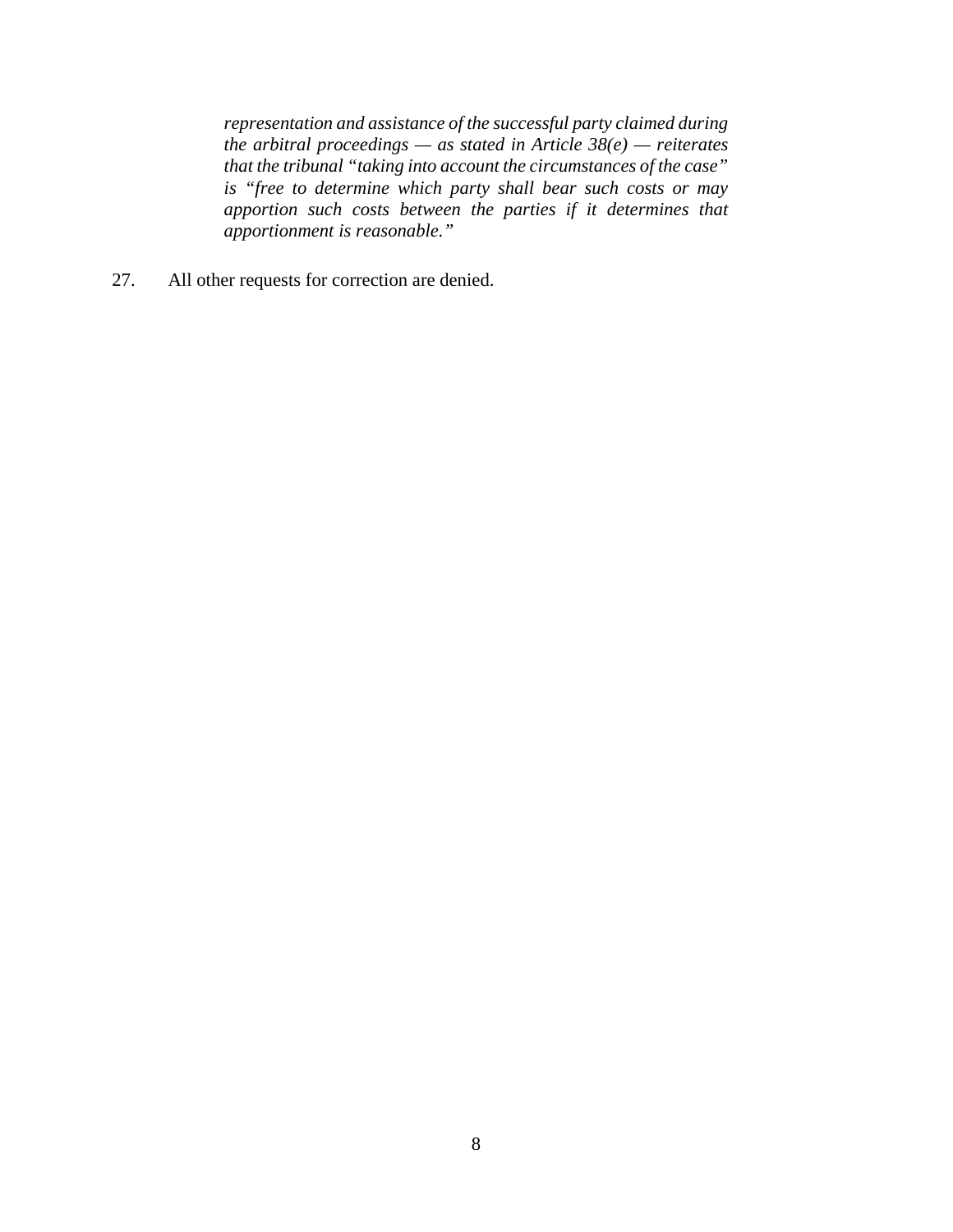*representation and assistance of the successful party claimed during the arbitral proceedings — as stated in Article 38(e) — reiterates that the tribunal "taking into account the circumstances of the case" is "free to determine which party shall bear such costs or may apportion such costs between the parties if it determines that apportionment is reasonable."*

27. All other requests for correction are denied.